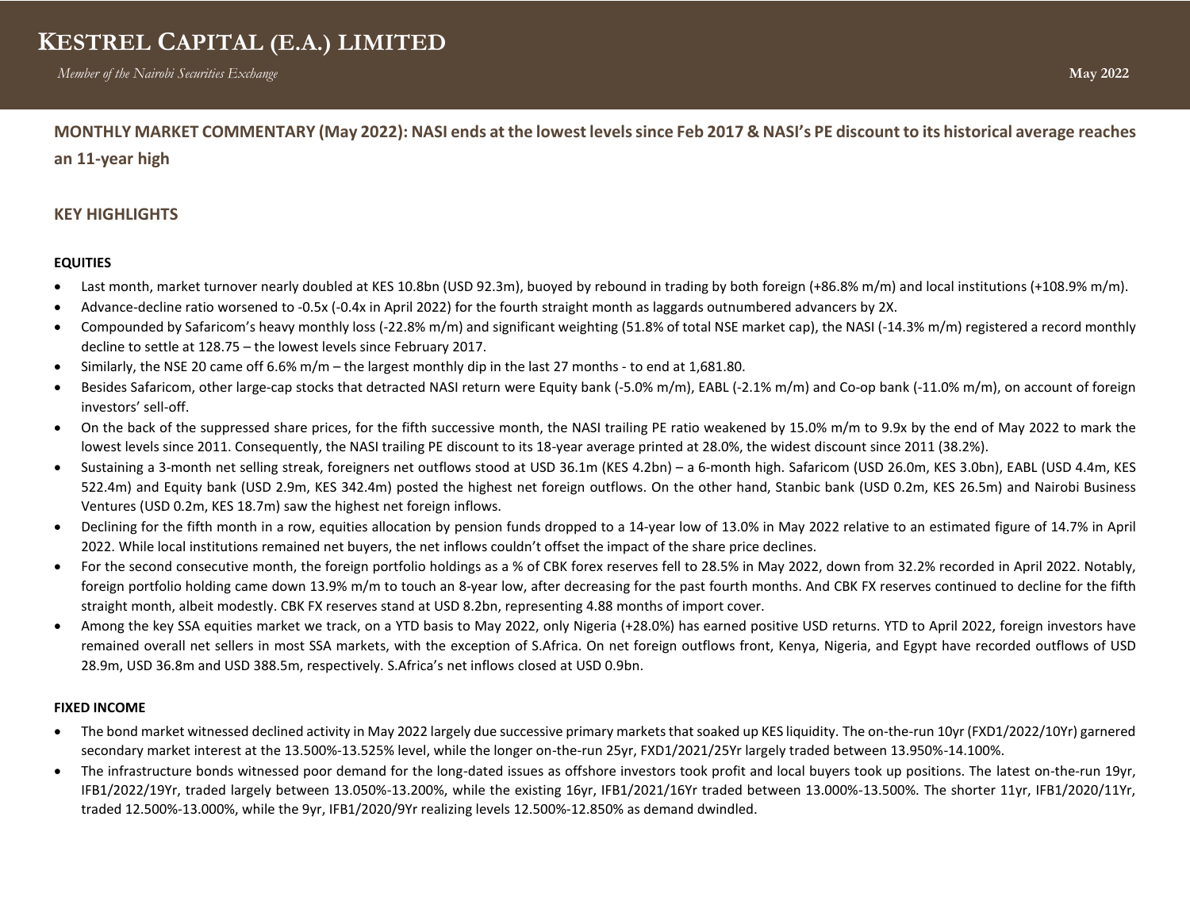**MONTHLY MARKET COMMENTARY (May 2022): NASI ends at the lowest levelssince Feb 2017 & NASI's PE discount to its historical average reaches** 

**an 11-year high**

## **KEY HIGHLIGHTS**

## **EQUITIES**

- Last month, market turnover nearly doubled at KES 10.8bn (USD 92.3m), buoyed by rebound in trading by both foreign (+86.8% m/m) and local institutions (+108.9% m/m).
- Advance-decline ratio worsened to -0.5x (-0.4x in April 2022) for the fourth straight month as laggards outnumbered advancers by 2X.
- Compounded by Safaricom's heavy monthly loss (-22.8% m/m) and significant weighting (51.8% of total NSE market cap), the NASI (-14.3% m/m) registered a record monthly decline to settle at 128.75 – the lowest levels since February 2017.
- Similarly, the NSE 20 came off 6.6% m/m the largest monthly dip in the last 27 months to end at 1,681.80.
- Besides Safaricom, other large-cap stocks that detracted NASI return were Equity bank (-5.0% m/m), EABL (-2.1% m/m) and Co-op bank (-11.0% m/m), on account of foreign investors' sell-off.
- On the back of the suppressed share prices, for the fifth successive month, the NASI trailing PE ratio weakened by 15.0% m/m to 9.9x by the end of May 2022 to mark the lowest levels since 2011. Consequently, the NASI trailing PE discount to its 18-year average printed at 28.0%, the widest discount since 2011 (38.2%).
- Sustaining a 3-month net selling streak, foreigners net outflows stood at USD 36.1m (KES 4.2bn) a 6-month high. Safaricom (USD 26.0m, KES 3.0bn), EABL (USD 4.4m, KES 522.4m) and Equity bank (USD 2.9m, KES 342.4m) posted the highest net foreign outflows. On the other hand, Stanbic bank (USD 0.2m, KES 26.5m) and Nairobi Business Ventures (USD 0.2m, KES 18.7m) saw the highest net foreign inflows.
- Declining for the fifth month in a row, equities allocation by pension funds dropped to a 14-year low of 13.0% in May 2022 relative to an estimated figure of 14.7% in April 2022. While local institutions remained net buyers, the net inflows couldn't offset the impact of the share price declines.
- For the second consecutive month, the foreign portfolio holdings as a % of CBK forex reserves fell to 28.5% in May 2022, down from 32.2% recorded in April 2022. Notably, foreign portfolio holding came down 13.9% m/m to touch an 8-year low, after decreasing for the past fourth months. And CBK FX reserves continued to decline for the fifth straight month, albeit modestly. CBK FX reserves stand at USD 8.2bn, representing 4.88 months of import cover.
- Among the key SSA equities market we track, on a YTD basis to May 2022, only Nigeria (+28.0%) has earned positive USD returns. YTD to April 2022, foreign investors have remained overall net sellers in most SSA markets, with the exception of S.Africa. On net foreign outflows front, Kenya, Nigeria, and Egypt have recorded outflows of USD 28.9m, USD 36.8m and USD 388.5m, respectively. S.Africa's net inflows closed at USD 0.9bn.

## **FIXED INCOME**

- The bond market witnessed declined activity in May 2022 largely due successive primary markets that soaked up KES liquidity. The on-the-run 10yr (FXD1/2022/10Yr) garnered secondary market interest at the 13.500%-13.525% level, while the longer on-the-run 25yr, FXD1/2021/25Yr largely traded between 13.950%-14.100%.
- The infrastructure bonds witnessed poor demand for the long-dated issues as offshore investors took profit and local buyers took up positions. The latest on-the-run 19yr, IFB1/2022/19Yr, traded largely between 13.050%-13.200%, while the existing 16yr, IFB1/2021/16Yr traded between 13.000%-13.500%. The shorter 11yr, IFB1/2020/11Yr, traded 12.500%-13.000%, while the 9yr, IFB1/2020/9Yr realizing levels 12.500%-12.850% as demand dwindled.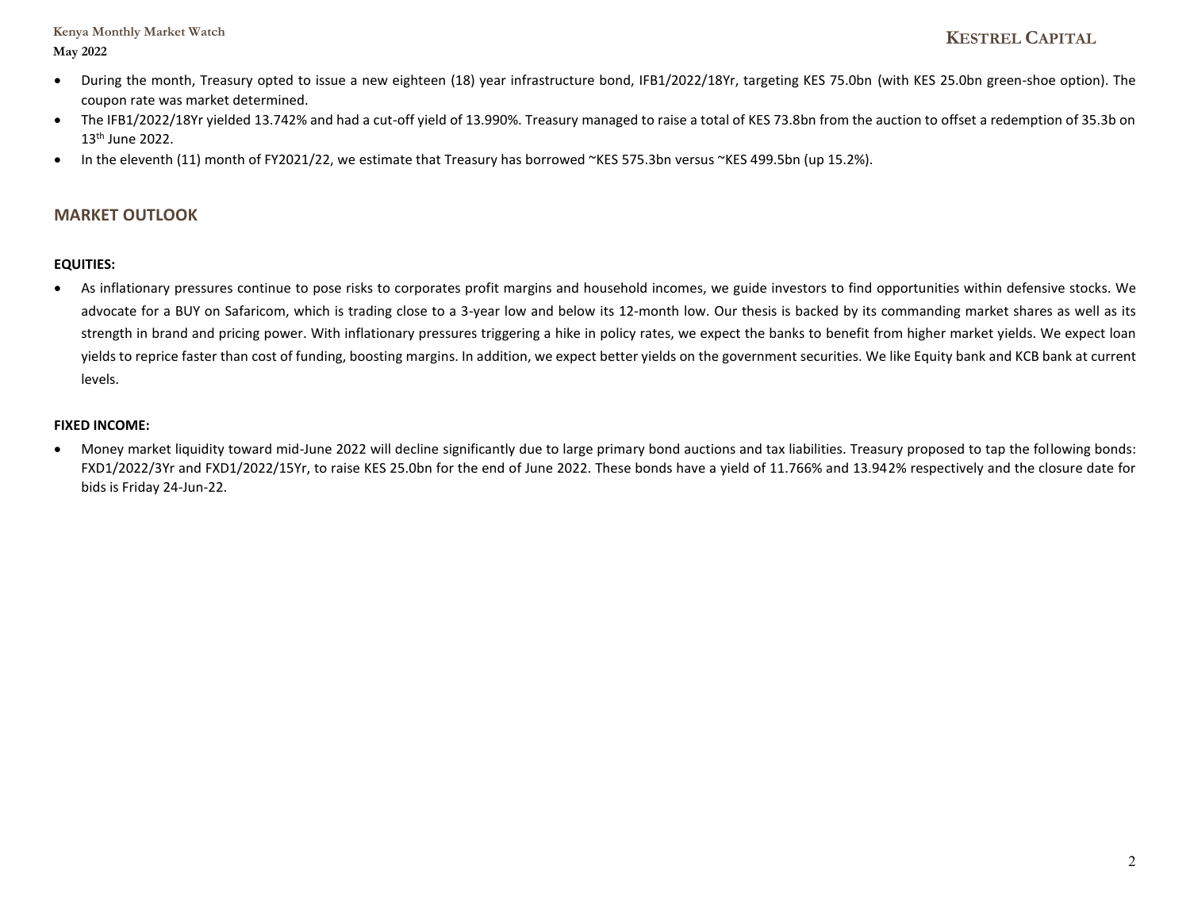## **Kenya Monthly Market Watch May 2022**

- During the month, Treasury opted to issue a new eighteen (18) year infrastructure bond, IFB1/2022/18Yr, targeting KES 75.0bn (with KES 25.0bn green-shoe option). The coupon rate was market determined.
- The IFB1/2022/18Yr yielded 13.742% and had a cut-off yield of 13.990%. Treasury managed to raise a total of KES 73.8bn from the auction to offset a redemption of 35.3b on 13th June 2022.
- In the eleventh (11) month of FY2021/22, we estimate that Treasury has borrowed ~KES 575.3bn versus ~KES 499.5bn (up 15.2%).

## **MARKET OUTLOOK**

## **EQUITIES:**

• As inflationary pressures continue to pose risks to corporates profit margins and household incomes, we guide investors to find opportunities within defensive stocks. We advocate for a BUY on Safaricom, which is trading close to a 3-year low and below its 12-month low. Our thesis is backed by its commanding market shares as well as its strength in brand and pricing power. With inflationary pressures triggering a hike in policy rates, we expect the banks to benefit from higher market yields. We expect loan yields to reprice faster than cost of funding, boosting margins. In addition, we expect better yields on the government securities. We like Equity bank and KCB bank at current levels.

## **FIXED INCOME:**

• Money market liquidity toward mid-June 2022 will decline significantly due to large primary bond auctions and tax liabilities. Treasury proposed to tap the following bonds: FXD1/2022/3Yr and FXD1/2022/15Yr, to raise KES 25.0bn for the end of June 2022. These bonds have a yield of 11.766% and 13.942% respectively and the closure date for bids is Friday 24-Jun-22.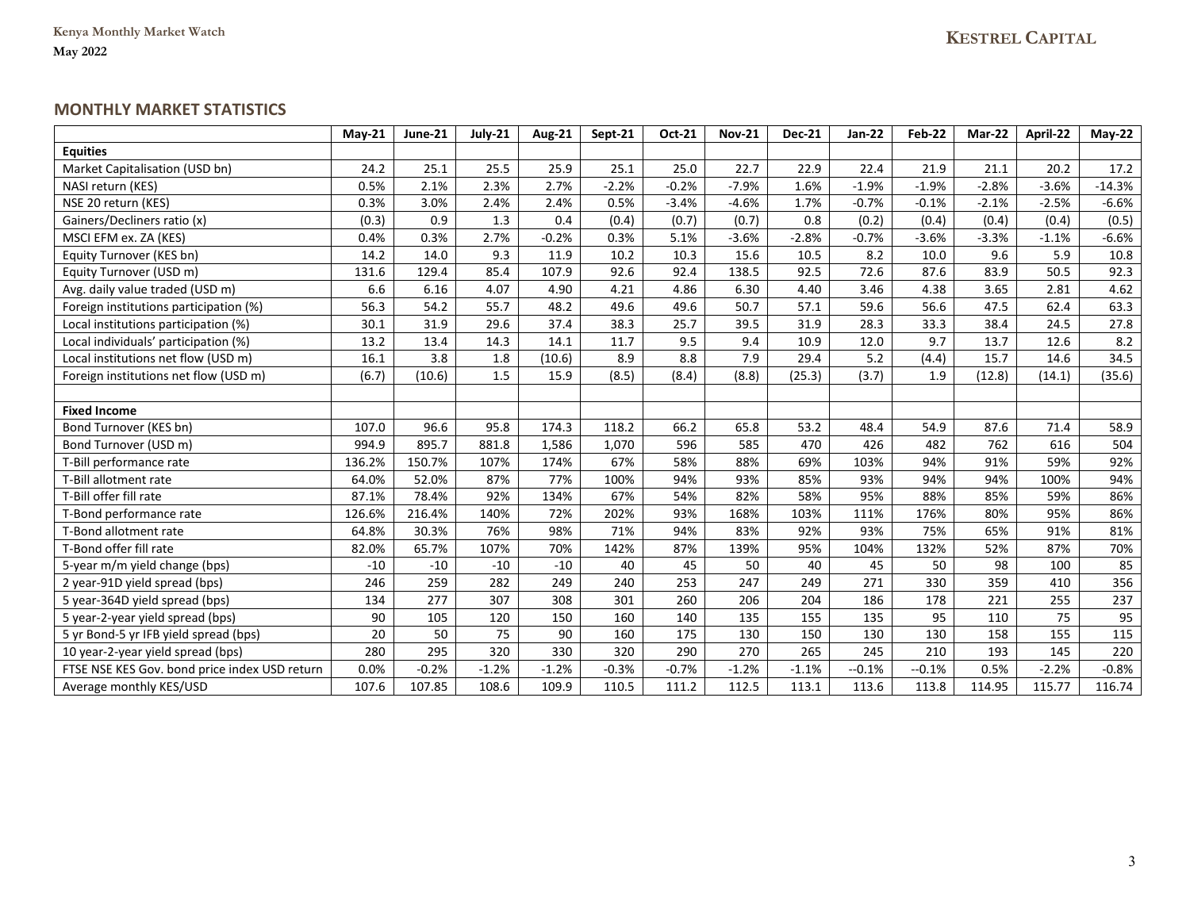## **MONTHLY MARKET STATISTICS**

|                                               | $Mav-21$ | June-21 | July-21 | <b>Aug-21</b> | Sept-21 | Oct-21  | <b>Nov-21</b> | <b>Dec-21</b> | <b>Jan-22</b> | Feb-22  | Mar-22  | April-22 | $May-22$ |
|-----------------------------------------------|----------|---------|---------|---------------|---------|---------|---------------|---------------|---------------|---------|---------|----------|----------|
| <b>Equities</b>                               |          |         |         |               |         |         |               |               |               |         |         |          |          |
| Market Capitalisation (USD bn)                | 24.2     | 25.1    | 25.5    | 25.9          | 25.1    | 25.0    | 22.7          | 22.9          | 22.4          | 21.9    | 21.1    | 20.2     | 17.2     |
| NASI return (KES)                             | 0.5%     | 2.1%    | 2.3%    | 2.7%          | $-2.2%$ | $-0.2%$ | $-7.9%$       | 1.6%          | $-1.9%$       | $-1.9%$ | $-2.8%$ | $-3.6%$  | $-14.3%$ |
| NSE 20 return (KES)                           | 0.3%     | 3.0%    | 2.4%    | 2.4%          | 0.5%    | $-3.4%$ | $-4.6%$       | 1.7%          | $-0.7%$       | $-0.1%$ | $-2.1%$ | $-2.5%$  | $-6.6%$  |
| Gainers/Decliners ratio (x)                   | (0.3)    | 0.9     | 1.3     | 0.4           | (0.4)   | (0.7)   | (0.7)         | 0.8           | (0.2)         | (0.4)   | (0.4)   | (0.4)    | (0.5)    |
| MSCI EFM ex. ZA (KES)                         | 0.4%     | 0.3%    | 2.7%    | $-0.2%$       | 0.3%    | 5.1%    | $-3.6%$       | $-2.8%$       | $-0.7%$       | $-3.6%$ | $-3.3%$ | $-1.1%$  | $-6.6%$  |
| Equity Turnover (KES bn)                      | 14.2     | 14.0    | 9.3     | 11.9          | 10.2    | 10.3    | 15.6          | 10.5          | 8.2           | 10.0    | 9.6     | 5.9      | 10.8     |
| Equity Turnover (USD m)                       | 131.6    | 129.4   | 85.4    | 107.9         | 92.6    | 92.4    | 138.5         | 92.5          | 72.6          | 87.6    | 83.9    | 50.5     | 92.3     |
| Avg. daily value traded (USD m)               | 6.6      | 6.16    | 4.07    | 4.90          | 4.21    | 4.86    | 6.30          | 4.40          | 3.46          | 4.38    | 3.65    | 2.81     | 4.62     |
| Foreign institutions participation (%)        | 56.3     | 54.2    | 55.7    | 48.2          | 49.6    | 49.6    | 50.7          | 57.1          | 59.6          | 56.6    | 47.5    | 62.4     | 63.3     |
| Local institutions participation (%)          | 30.1     | 31.9    | 29.6    | 37.4          | 38.3    | 25.7    | 39.5          | 31.9          | 28.3          | 33.3    | 38.4    | 24.5     | 27.8     |
| Local individuals' participation (%)          | 13.2     | 13.4    | 14.3    | 14.1          | 11.7    | 9.5     | 9.4           | 10.9          | 12.0          | 9.7     | 13.7    | 12.6     | 8.2      |
| Local institutions net flow (USD m)           | 16.1     | 3.8     | 1.8     | (10.6)        | 8.9     | 8.8     | 7.9           | 29.4          | 5.2           | (4.4)   | 15.7    | 14.6     | 34.5     |
| Foreign institutions net flow (USD m)         | (6.7)    | (10.6)  | 1.5     | 15.9          | (8.5)   | (8.4)   | (8.8)         | (25.3)        | (3.7)         | 1.9     | (12.8)  | (14.1)   | (35.6)   |
|                                               |          |         |         |               |         |         |               |               |               |         |         |          |          |
| <b>Fixed Income</b>                           |          |         |         |               |         |         |               |               |               |         |         |          |          |
| Bond Turnover (KES bn)                        | 107.0    | 96.6    | 95.8    | 174.3         | 118.2   | 66.2    | 65.8          | 53.2          | 48.4          | 54.9    | 87.6    | 71.4     | 58.9     |
| Bond Turnover (USD m)                         | 994.9    | 895.7   | 881.8   | 1,586         | 1,070   | 596     | 585           | 470           | 426           | 482     | 762     | 616      | 504      |
| T-Bill performance rate                       | 136.2%   | 150.7%  | 107%    | 174%          | 67%     | 58%     | 88%           | 69%           | 103%          | 94%     | 91%     | 59%      | 92%      |
| T-Bill allotment rate                         | 64.0%    | 52.0%   | 87%     | 77%           | 100%    | 94%     | 93%           | 85%           | 93%           | 94%     | 94%     | 100%     | 94%      |
| T-Bill offer fill rate                        | 87.1%    | 78.4%   | 92%     | 134%          | 67%     | 54%     | 82%           | 58%           | 95%           | 88%     | 85%     | 59%      | 86%      |
| T-Bond performance rate                       | 126.6%   | 216.4%  | 140%    | 72%           | 202%    | 93%     | 168%          | 103%          | 111%          | 176%    | 80%     | 95%      | 86%      |
| T-Bond allotment rate                         | 64.8%    | 30.3%   | 76%     | 98%           | 71%     | 94%     | 83%           | 92%           | 93%           | 75%     | 65%     | 91%      | 81%      |
| T-Bond offer fill rate                        | 82.0%    | 65.7%   | 107%    | 70%           | 142%    | 87%     | 139%          | 95%           | 104%          | 132%    | 52%     | 87%      | 70%      |
| 5-year m/m yield change (bps)                 | $-10$    | $-10$   | $-10$   | $-10$         | 40      | 45      | 50            | 40            | 45            | 50      | 98      | 100      | 85       |
| 2 year-91D yield spread (bps)                 | 246      | 259     | 282     | 249           | 240     | 253     | 247           | 249           | 271           | 330     | 359     | 410      | 356      |
| 5 year-364D yield spread (bps)                | 134      | 277     | 307     | 308           | 301     | 260     | 206           | 204           | 186           | 178     | 221     | 255      | 237      |
| 5 year-2-year yield spread (bps)              | 90       | 105     | 120     | 150           | 160     | 140     | 135           | 155           | 135           | 95      | 110     | 75       | 95       |
| 5 yr Bond-5 yr IFB yield spread (bps)         | 20       | 50      | 75      | 90            | 160     | 175     | 130           | 150           | 130           | 130     | 158     | 155      | 115      |
| 10 year-2-year yield spread (bps)             | 280      | 295     | 320     | 330           | 320     | 290     | 270           | 265           | 245           | 210     | 193     | 145      | 220      |
| FTSE NSE KES Gov. bond price index USD return | 0.0%     | $-0.2%$ | $-1.2%$ | $-1.2%$       | $-0.3%$ | $-0.7%$ | $-1.2%$       | $-1.1%$       | $-0.1%$       | $-0.1%$ | 0.5%    | $-2.2%$  | $-0.8%$  |
| Average monthly KES/USD                       | 107.6    | 107.85  | 108.6   | 109.9         | 110.5   | 111.2   | 112.5         | 113.1         | 113.6         | 113.8   | 114.95  | 115.77   | 116.74   |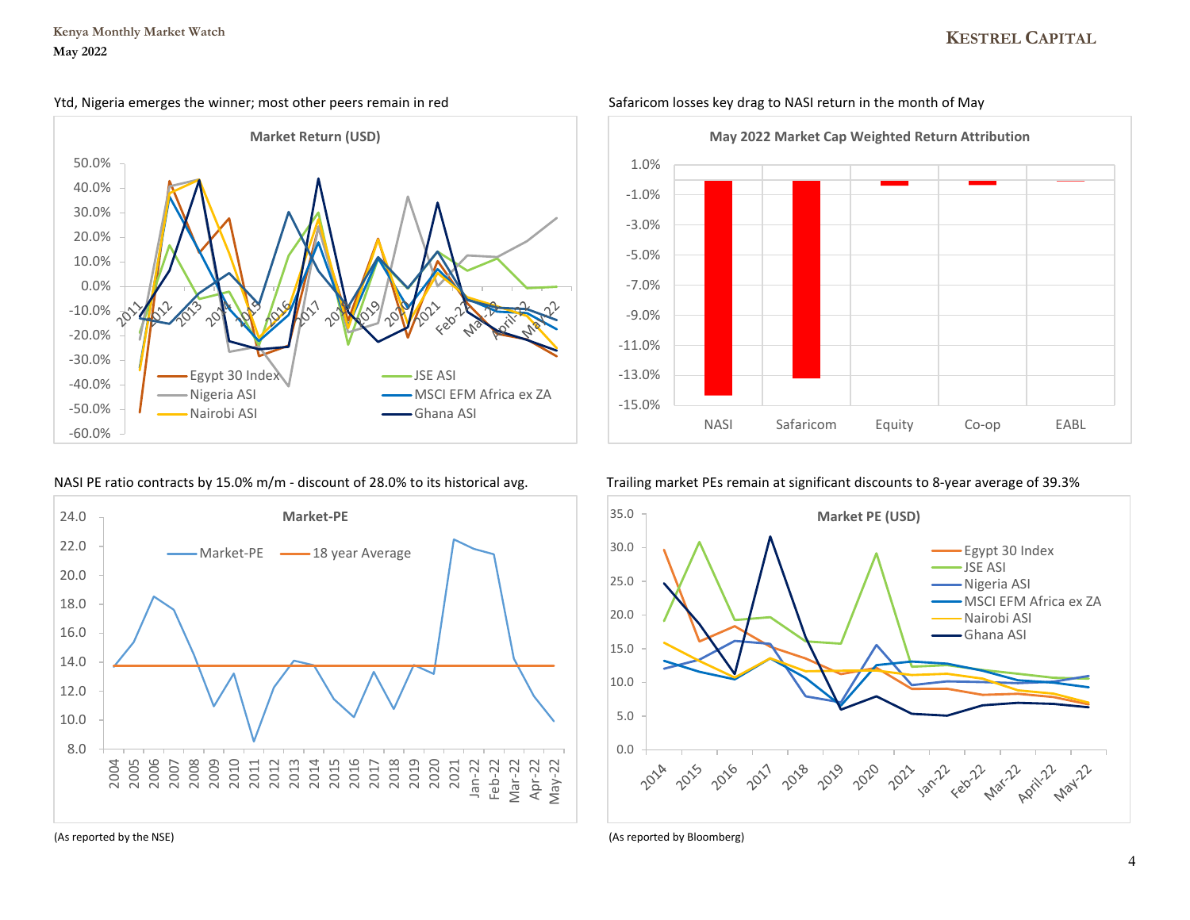# **KESTREL CAPITAL**



## NASI PE ratio contracts by 15.0% m/m - discount of 28.0% to its historical avg. Trailing market PEs remain at significant discounts to 8-year average of 39.3%





### Ytd, Nigeria emerges the winner; most other peers remain in red Safaricom losses key drag to NASI return in the month of May



(As reported by the NSE) (As reported by Bloomberg)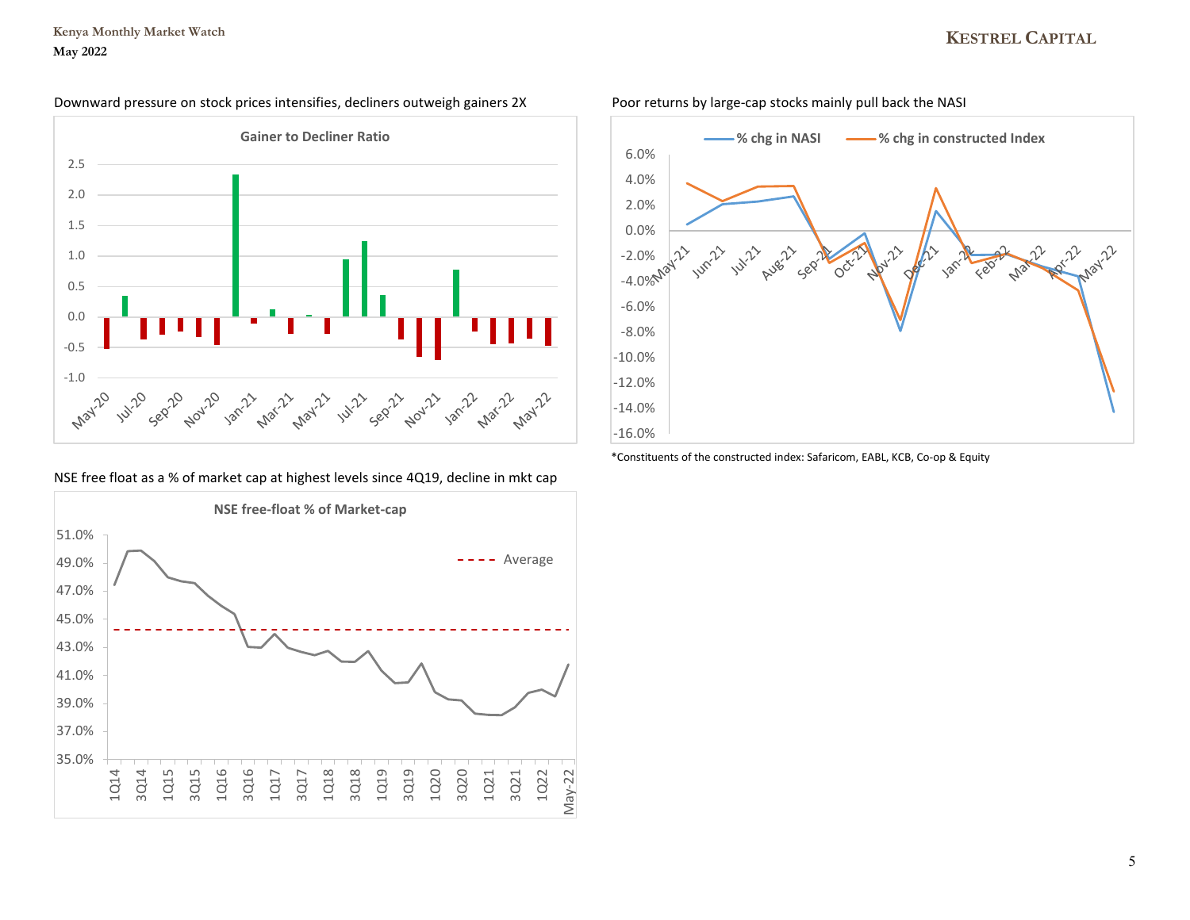# **KESTREL CAPITAL**





NSE free float as a % of market cap at highest levels since 4Q19, decline in mkt cap





\*Constituents of the constructed index: Safaricom, EABL, KCB, Co-op & Equity

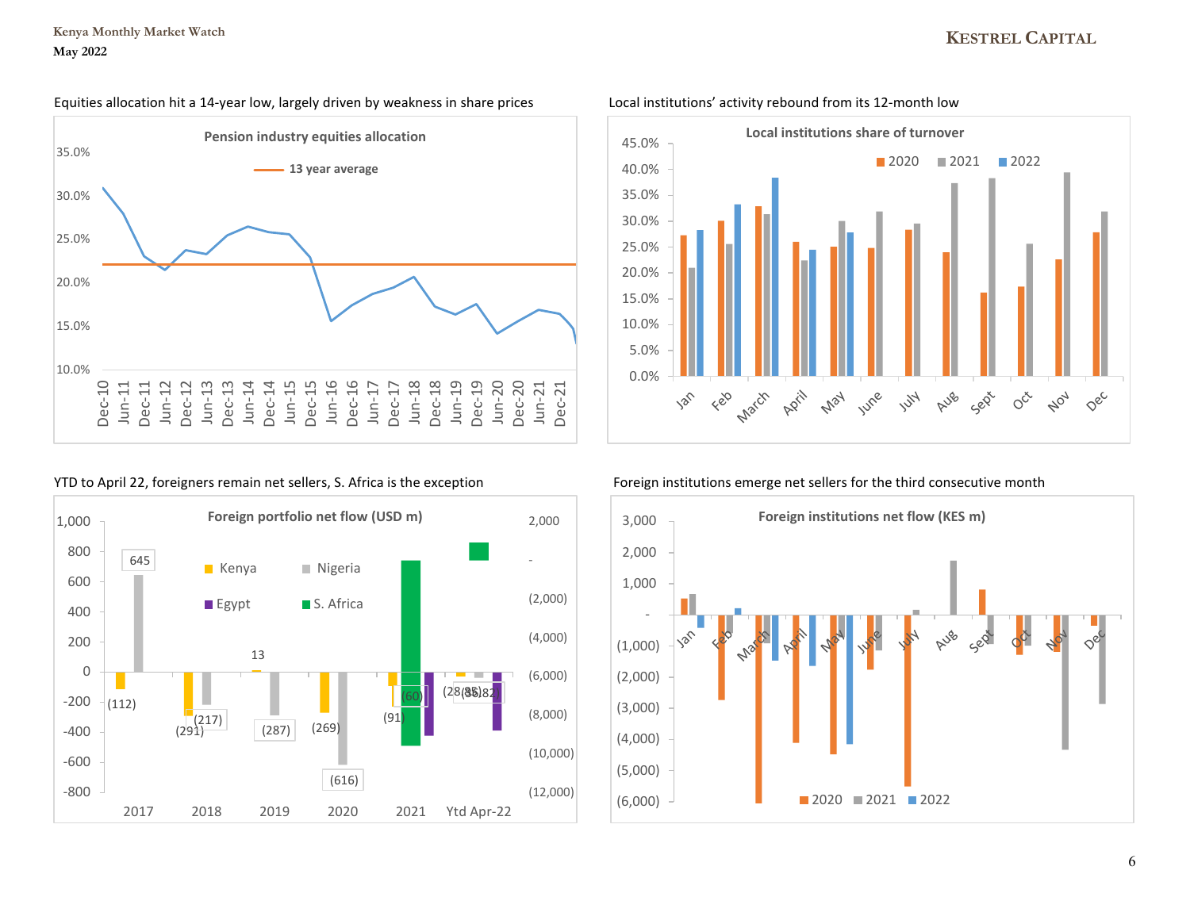# **KESTREL CAPITAL**

### Equities allocation hit a 14-year low, largely driven by weakness in share prices Local institutions' activity rebound from its 12-month low







### YTD to April 22, foreigners remain net sellers, S. Africa is the exception Foreign institutions emerge net sellers for the third consecutive month

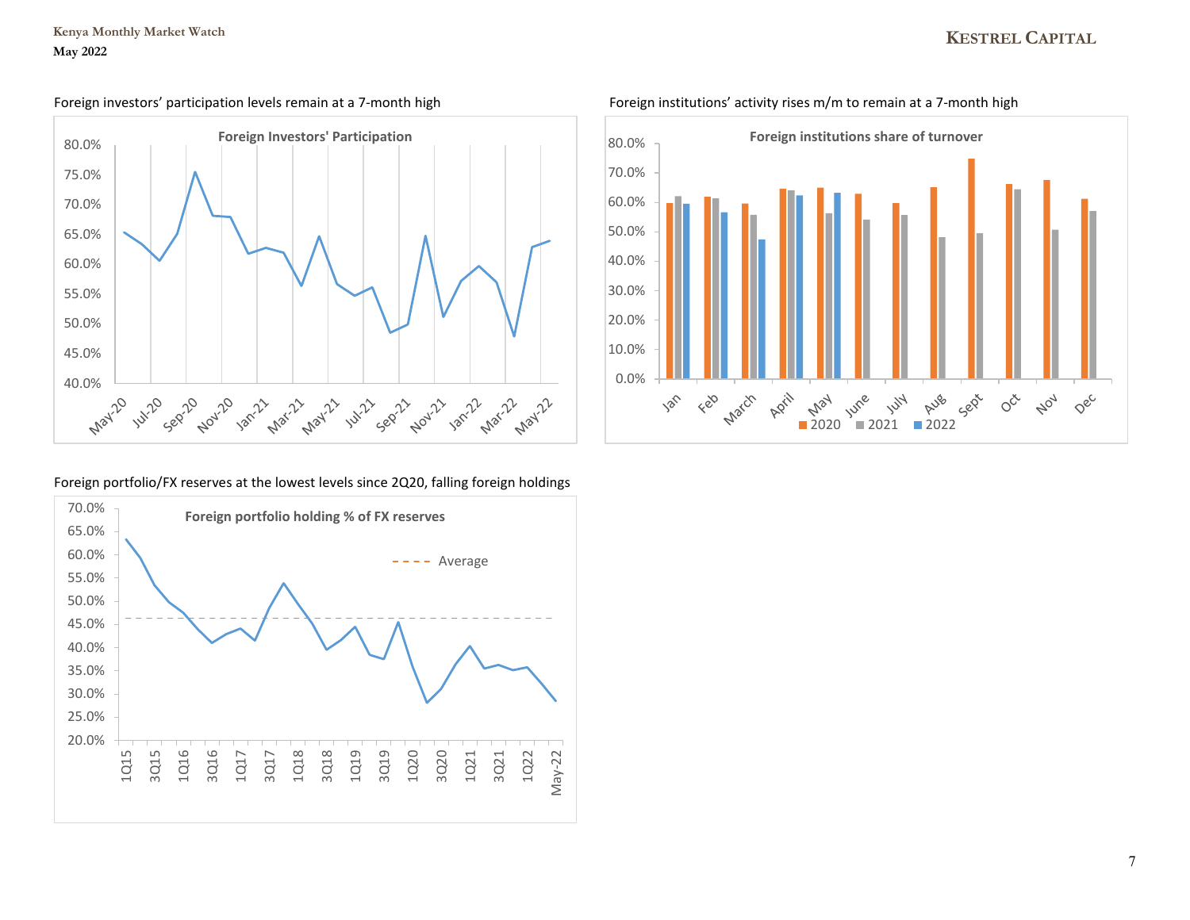

## Foreign portfolio/FX reserves at the lowest levels since 2Q20, falling foreign holdings





Foreign investors' participation levels remain at a 7-month high Foreign institutions' activity rises m/m to remain at a 7-month high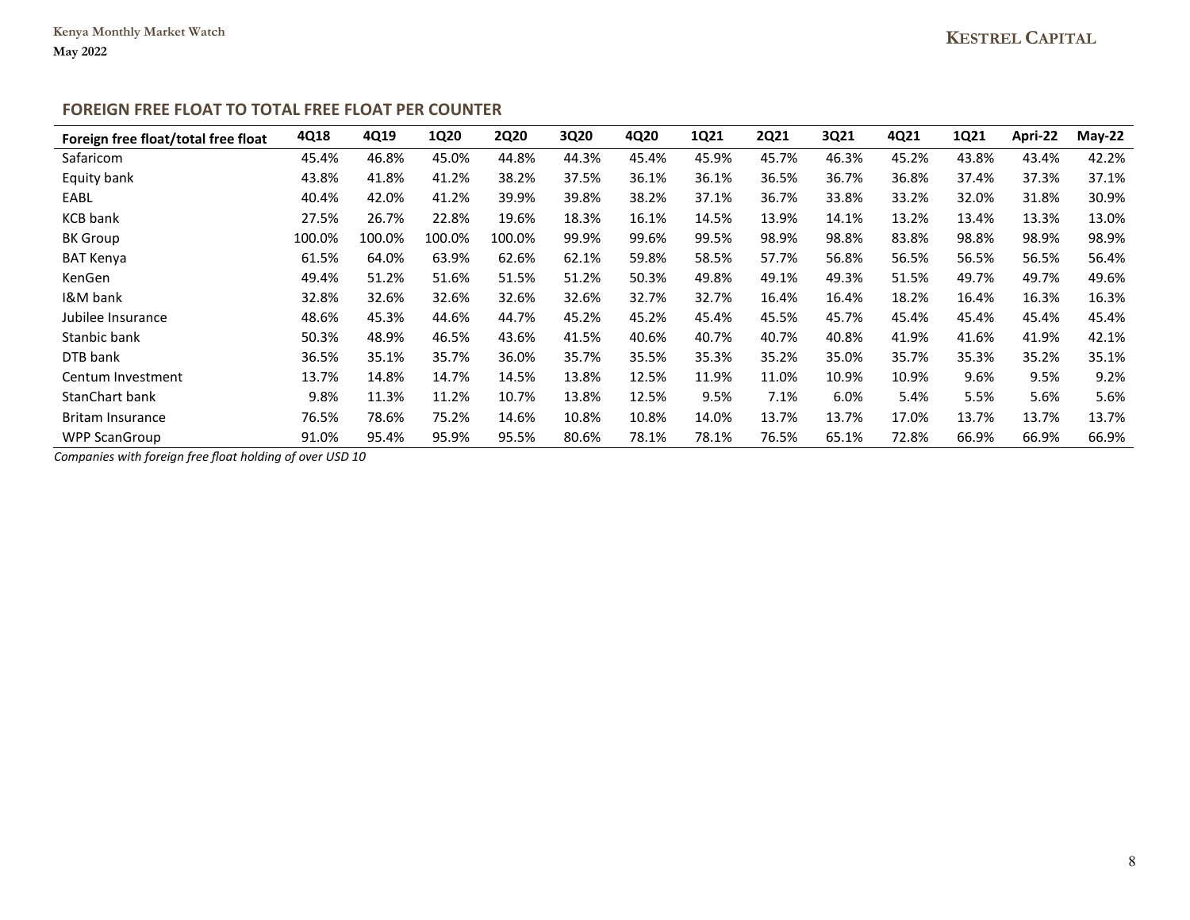# **FOREIGN FREE FLOAT TO TOTAL FREE FLOAT PER COUNTER**

| Foreign free float/total free float | 4Q18   | 4Q19   | <b>1Q20</b> | <b>2Q20</b> | 3Q20  | 4Q20  | 1Q21  | <b>2Q21</b> | 3Q21  | 4Q21  | 1Q21  | Apri-22 | $May-22$ |
|-------------------------------------|--------|--------|-------------|-------------|-------|-------|-------|-------------|-------|-------|-------|---------|----------|
| Safaricom                           | 45.4%  | 46.8%  | 45.0%       | 44.8%       | 44.3% | 45.4% | 45.9% | 45.7%       | 46.3% | 45.2% | 43.8% | 43.4%   | 42.2%    |
| Equity bank                         | 43.8%  | 41.8%  | 41.2%       | 38.2%       | 37.5% | 36.1% | 36.1% | 36.5%       | 36.7% | 36.8% | 37.4% | 37.3%   | 37.1%    |
| EABL                                | 40.4%  | 42.0%  | 41.2%       | 39.9%       | 39.8% | 38.2% | 37.1% | 36.7%       | 33.8% | 33.2% | 32.0% | 31.8%   | 30.9%    |
| <b>KCB</b> bank                     | 27.5%  | 26.7%  | 22.8%       | 19.6%       | 18.3% | 16.1% | 14.5% | 13.9%       | 14.1% | 13.2% | 13.4% | 13.3%   | 13.0%    |
| <b>BK</b> Group                     | 100.0% | 100.0% | 100.0%      | 100.0%      | 99.9% | 99.6% | 99.5% | 98.9%       | 98.8% | 83.8% | 98.8% | 98.9%   | 98.9%    |
| <b>BAT Kenya</b>                    | 61.5%  | 64.0%  | 63.9%       | 62.6%       | 62.1% | 59.8% | 58.5% | 57.7%       | 56.8% | 56.5% | 56.5% | 56.5%   | 56.4%    |
| KenGen                              | 49.4%  | 51.2%  | 51.6%       | 51.5%       | 51.2% | 50.3% | 49.8% | 49.1%       | 49.3% | 51.5% | 49.7% | 49.7%   | 49.6%    |
| I&M bank                            | 32.8%  | 32.6%  | 32.6%       | 32.6%       | 32.6% | 32.7% | 32.7% | 16.4%       | 16.4% | 18.2% | 16.4% | 16.3%   | 16.3%    |
| Jubilee Insurance                   | 48.6%  | 45.3%  | 44.6%       | 44.7%       | 45.2% | 45.2% | 45.4% | 45.5%       | 45.7% | 45.4% | 45.4% | 45.4%   | 45.4%    |
| Stanbic bank                        | 50.3%  | 48.9%  | 46.5%       | 43.6%       | 41.5% | 40.6% | 40.7% | 40.7%       | 40.8% | 41.9% | 41.6% | 41.9%   | 42.1%    |
| DTB bank                            | 36.5%  | 35.1%  | 35.7%       | 36.0%       | 35.7% | 35.5% | 35.3% | 35.2%       | 35.0% | 35.7% | 35.3% | 35.2%   | 35.1%    |
| Centum Investment                   | 13.7%  | 14.8%  | 14.7%       | 14.5%       | 13.8% | 12.5% | 11.9% | 11.0%       | 10.9% | 10.9% | 9.6%  | 9.5%    | 9.2%     |
| <b>StanChart bank</b>               | 9.8%   | 11.3%  | 11.2%       | 10.7%       | 13.8% | 12.5% | 9.5%  | 7.1%        | 6.0%  | 5.4%  | 5.5%  | 5.6%    | 5.6%     |
| <b>Britam Insurance</b>             | 76.5%  | 78.6%  | 75.2%       | 14.6%       | 10.8% | 10.8% | 14.0% | 13.7%       | 13.7% | 17.0% | 13.7% | 13.7%   | 13.7%    |
| <b>WPP ScanGroup</b>                | 91.0%  | 95.4%  | 95.9%       | 95.5%       | 80.6% | 78.1% | 78.1% | 76.5%       | 65.1% | 72.8% | 66.9% | 66.9%   | 66.9%    |

*Companies with foreign free float holding of over USD 10*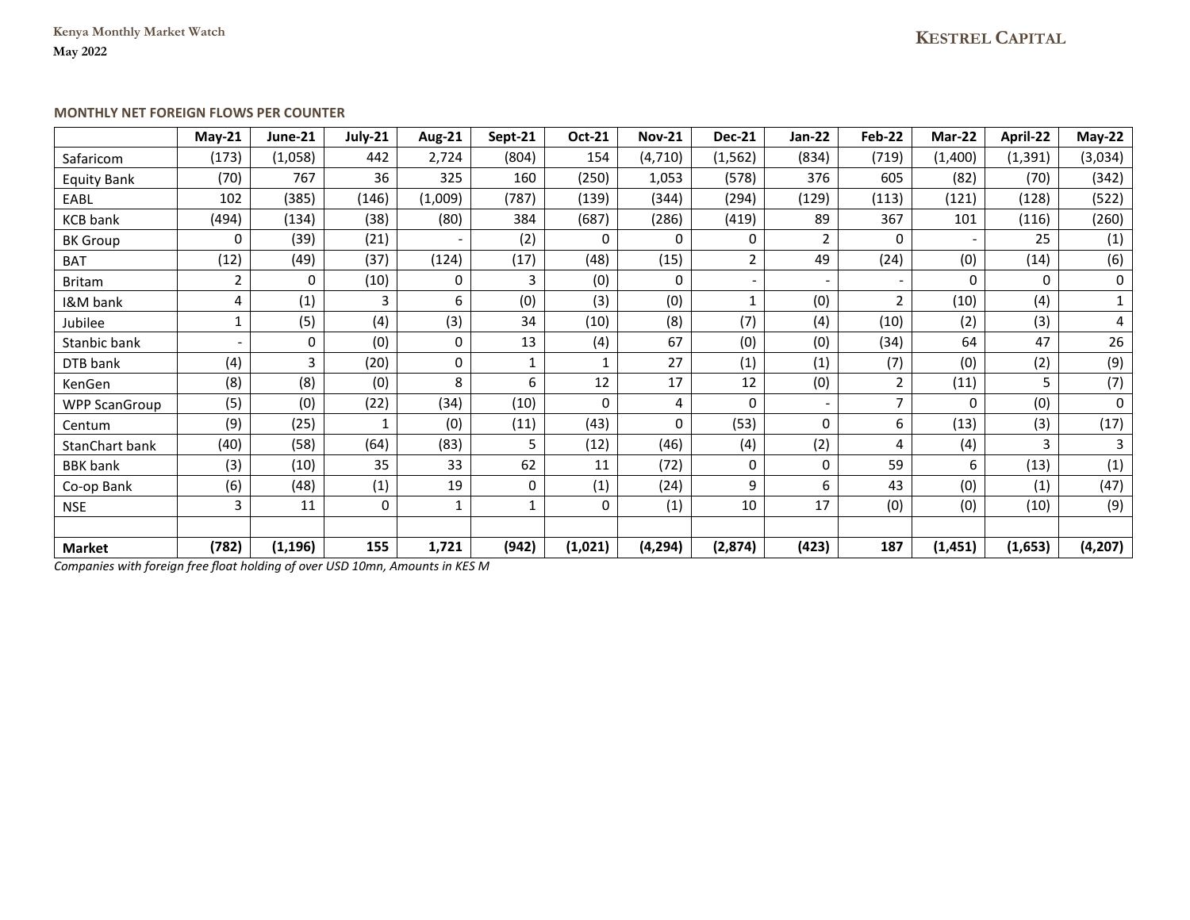**Kenya Monthly Market Watch May 2022**

## **MONTHLY NET FOREIGN FLOWS PER COUNTER**

|                      | $May-21$                 | June-21  | July-21 | <b>Aug-21</b>            | Sept-21      | Oct-21  | <b>Nov-21</b>       | <b>Dec-21</b>  | Jan-22         | Feb-22         | Mar-22   | April-22 | $May-22$ |
|----------------------|--------------------------|----------|---------|--------------------------|--------------|---------|---------------------|----------------|----------------|----------------|----------|----------|----------|
| Safaricom            | (173)                    | (1,058)  | 442     | 2,724                    | (804)        | 154     | (4,710)             | (1, 562)       | (834)          | (719)          | (1,400)  | (1, 391) | (3,034)  |
| <b>Equity Bank</b>   | (70)                     | 767      | 36      | 325                      | 160          | (250)   | 1,053               | (578)          | 376            | 605            | (82)     | (70)     | (342)    |
| EABL                 | 102                      | (385)    | (146)   | (1,009)                  | (787)        | (139)   | (344)               | (294)          | (129)          | (113)          | (121)    | (128)    | (522)    |
| <b>KCB</b> bank      | (494)                    | (134)    | (38)    | (80)                     | 384          | (687)   | (286)               | (419)          | 89             | 367            | 101      | (116)    | (260)    |
| <b>BK</b> Group      | $\Omega$                 | (39)     | (21)    | $\overline{\phantom{0}}$ | (2)          | 0       | 0                   | 0              | $\overline{2}$ | $\Omega$       |          | 25       | (1)      |
| <b>BAT</b>           | (12)                     | (49)     | (37)    | (124)                    | (17)         | (48)    | (15)                | $\overline{2}$ | 49             | (24)           | (0)      | (14)     | (6)      |
| <b>Britam</b>        | 2                        | $\Omega$ | (10)    | 0                        | 3            | (0)     | 0                   |                |                |                | 0        | 0        | 0        |
| I&M bank             | 4                        | (1)      | 3       | 6                        | (0)          | (3)     | (0)                 | $\mathbf{1}$   | (0)            | $\overline{2}$ | (10)     | (4)      | $1\,$    |
| Jubilee              | 1                        | (5)      | (4)     | (3)                      | 34           | (10)    | (8)                 | (7)            | (4)            | (10)           | (2)      | (3)      | 4        |
| Stanbic bank         | $\overline{\phantom{0}}$ | 0        | (0)     | 0                        | 13           | (4)     | 67                  | (0)            | (0)            | (34)           | 64       | 47       | 26       |
| DTB bank             | (4)                      | 3        | (20)    | 0                        | $\mathbf{1}$ | 1       | 27                  | (1)            | (1)            | (7)            | (0)      | (2)      | (9)      |
| KenGen               | (8)                      | (8)      | (0)     | 8                        | 6            | 12      | 17                  | 12             | (0)            | 2              | (11)     | 5        | (7)      |
| <b>WPP ScanGroup</b> | (5)                      | (0)      | (22)    | (34)                     | (10)         | 0       | 4                   | 0              |                | $\overline{7}$ | $\Omega$ | (0)      | 0        |
| Centum               | (9)                      | (25)     | 1       | (0)                      | (11)         | (43)    | 0                   | (53)           | 0              | 6              | (13)     | (3)      | (17)     |
| StanChart bank       | (40)                     | (58)     | (64)    | (83)                     | 5            | (12)    | (46)                | (4)            | (2)            | 4              | (4)      | 3        | 3        |
| <b>BBK</b> bank      | (3)                      | (10)     | 35      | 33                       | 62           | 11      | (72)                | 0              | 0              | 59             | 6        | (13)     | (1)      |
| Co-op Bank           | (6)                      | (48)     | (1)     | 19                       | 0            | (1)     | (24)                | 9              | 6              | 43             | (0)      | (1)      | (47)     |
| <b>NSE</b>           | 3                        | 11       | 0       | 1                        | 1            | 0       | $\scriptstyle{(1)}$ | 10             | 17             | (0)            | (0)      | (10)     | (9)      |
|                      |                          |          |         |                          |              |         |                     |                |                |                |          |          |          |
| <b>Market</b>        | (782)                    | (1, 196) | 155     | 1,721                    | (942)        | (1,021) | (4, 294)            | (2,874)        | (423)          | 187            | (1,451)  | (1,653)  | (4, 207) |

*Companies with foreign free float holding of over USD 10mn, Amounts in KES M*